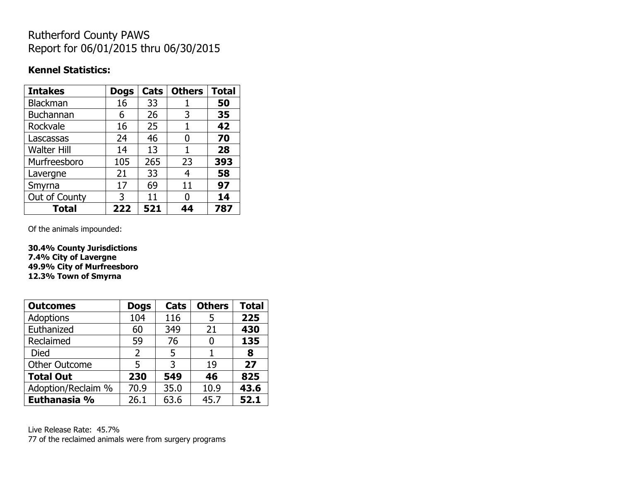## Rutherford County PAWS Report for 06/01/2015 thru 06/30/2015

### **Kennel Statistics:**

| <b>Intakes</b>     | <b>Dogs</b> | Cats | <b>Others</b> | <b>Total</b> |
|--------------------|-------------|------|---------------|--------------|
| <b>Blackman</b>    | 16          | 33   |               | 50           |
| <b>Buchannan</b>   | 6           | 26   | 3             | 35           |
| Rockvale           | 16          | 25   | 1             | 42           |
| Lascassas          | 24          | 46   | 0             | 70           |
| <b>Walter Hill</b> | 14          | 13   | 1             | 28           |
| Murfreesboro       | 105         | 265  | 23            | 393          |
| Lavergne           | 21          | 33   | 4             | 58           |
| Smyrna             | 17          | 69   | 11            | 97           |
| Out of County      | 3           | 11   | O             | 14           |
| <b>Total</b>       | 222         | 521  | 44            | 787          |

Of the animals impounded:

**30.4% County Jurisdictions 7.4% City of Lavergne 49.9% City of Murfreesboro 12.3% Town of Smyrna**

| <b>Outcomes</b>      | <b>Dogs</b> | <b>Cats</b> | <b>Others</b> | <b>Total</b> |
|----------------------|-------------|-------------|---------------|--------------|
| Adoptions            | 104         | 116         | 5             | 225          |
| Euthanized           | 60          | 349         | 21            | 430          |
| Reclaimed            | 59          | 76          | 0             | 135          |
| <b>Died</b>          | 2           | 5           |               | 8            |
| <b>Other Outcome</b> | 5           | 3           | 19            | 27           |
| <b>Total Out</b>     | 230         | 549         | 46            | 825          |
| Adoption/Reclaim %   | 70.9        | 35.0        | 10.9          | 43.6         |
| Euthanasia %         | 26.1        | 63.6        | 45.7          | 52.1         |

Live Release Rate: 45.7% 77 of the reclaimed animals were from surgery programs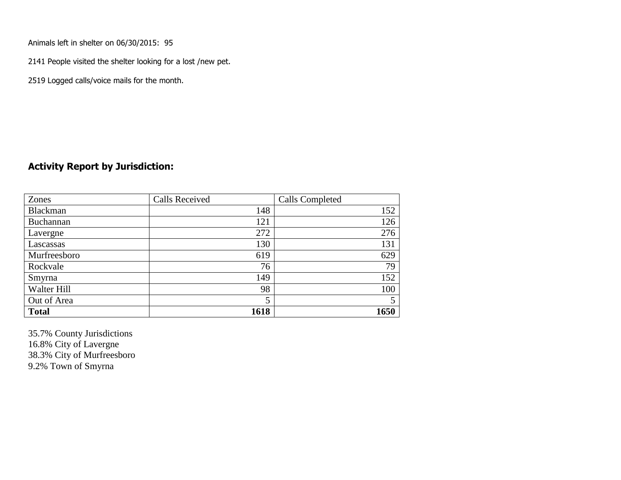Animals left in shelter on 06/30/2015: 95

2141 People visited the shelter looking for a lost /new pet.

2519 Logged calls/voice mails for the month.

#### **Activity Report by Jurisdiction:**

| Zones        | <b>Calls Received</b> | <b>Calls Completed</b> |
|--------------|-----------------------|------------------------|
| Blackman     | 148                   | 152                    |
| Buchannan    | 121                   | 126                    |
| Lavergne     | 272                   | 276                    |
| Lascassas    | 130                   | 131                    |
| Murfreesboro | 619                   | 629                    |
| Rockvale     | 76                    | 79                     |
| Smyrna       | 149                   | 152                    |
| Walter Hill  | 98                    | 100                    |
| Out of Area  | 5                     |                        |
| <b>Total</b> | 1618                  | 1650                   |

35.7% County Jurisdictions 16.8% City of Lavergne 38.3% City of Murfreesboro 9.2% Town of Smyrna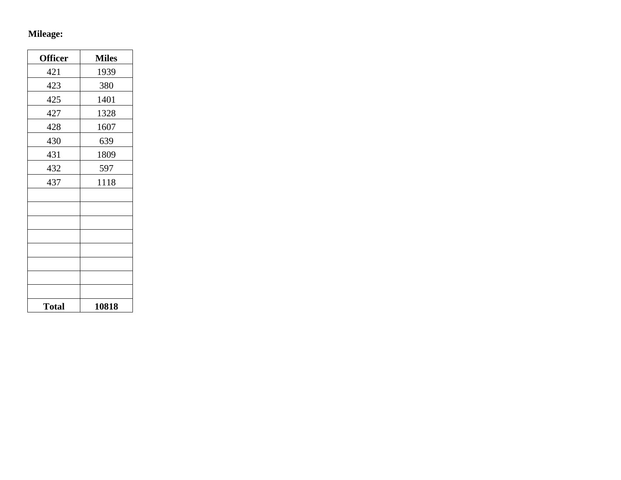# **Mileage:**

| <b>Officer</b> | <b>Miles</b> |
|----------------|--------------|
| 421            | 1939         |
| 423            | 380          |
| 425            | 1401         |
| 427            | 1328         |
| 428            | 1607         |
| 430            | 639          |
| 431            | 1809         |
| 432            | 597          |
| 437            | 1118         |
|                |              |
|                |              |
|                |              |
|                |              |
|                |              |
|                |              |
|                |              |
|                |              |
| <b>Total</b>   | 10818        |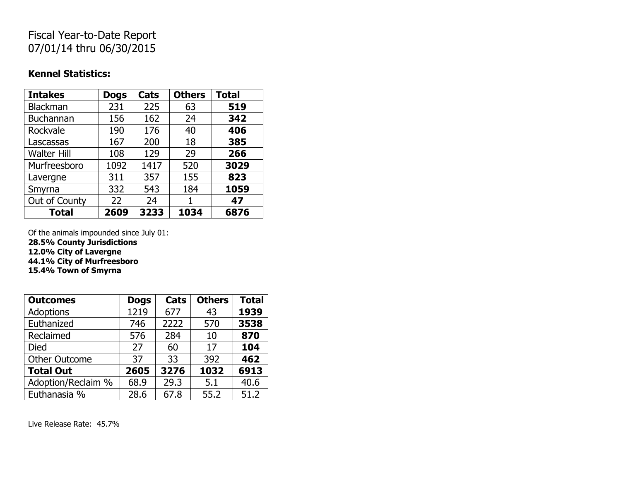## Fiscal Year-to-Date Report 07/01/14 thru 06/30/2015

### **Kennel Statistics:**

| <b>Intakes</b>     | <b>Dogs</b> | Cats | <b>Others</b> | <b>Total</b> |
|--------------------|-------------|------|---------------|--------------|
| <b>Blackman</b>    | 231         | 225  | 63            | 519          |
| <b>Buchannan</b>   | 156         | 162  | 24            | 342          |
| Rockvale           | 190         | 176  | 40            | 406          |
| Lascassas          | 167         | 200  | 18            | 385          |
| <b>Walter Hill</b> | 108         | 129  | 29            | 266          |
| Murfreesboro       | 1092        | 1417 | 520           | 3029         |
| Lavergne           | 311         | 357  | 155           | 823          |
| Smyrna             | 332         | 543  | 184           | 1059         |
| Out of County      | 22          | 24   |               | 47           |
| <b>Total</b>       | 2609        | 3233 | 1034          | 6876         |

Of the animals impounded since July 01: **28.5% County Jurisdictions**

**12.0% City of Lavergne**

**44.1% City of Murfreesboro**

**15.4% Town of Smyrna**

| <b>Outcomes</b>      | <b>Dogs</b> | Cats | <b>Others</b> | <b>Total</b> |
|----------------------|-------------|------|---------------|--------------|
| <b>Adoptions</b>     | 1219        | 677  | 43            | 1939         |
| Euthanized           | 746         | 2222 | 570           | 3538         |
| Reclaimed            | 576         | 284  | 10            | 870          |
| <b>Died</b>          | 27          | 60   | 17            | 104          |
| <b>Other Outcome</b> | 37          | 33   | 392           | 462          |
| <b>Total Out</b>     | 2605        | 3276 | 1032          | 6913         |
| Adoption/Reclaim %   | 68.9        | 29.3 | 5.1           | 40.6         |
| Euthanasia %         | 28.6        | 67.8 | 55.2          | 51.2         |

Live Release Rate: 45.7%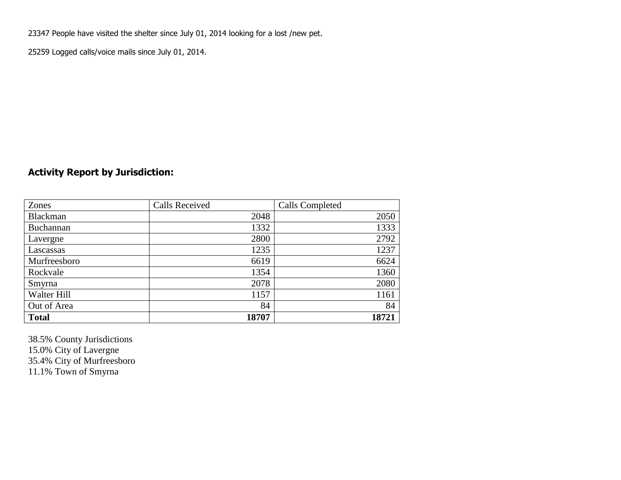23347 People have visited the shelter since July 01, 2014 looking for a lost /new pet.

25259 Logged calls/voice mails since July 01, 2014.

### **Activity Report by Jurisdiction:**

| Zones           | <b>Calls Received</b> | Calls Completed |
|-----------------|-----------------------|-----------------|
| <b>Blackman</b> | 2048                  | 2050            |
| Buchannan       | 1332                  | 1333            |
| Lavergne        | 2800                  | 2792            |
| Lascassas       | 1235                  | 1237            |
| Murfreesboro    | 6619                  | 6624            |
| Rockvale        | 1354                  | 1360            |
| Smyrna          | 2078                  | 2080            |
| Walter Hill     | 1157                  | 1161            |
| Out of Area     | 84                    | 84              |
| <b>Total</b>    | 18707                 | 18721           |

38.5% County Jurisdictions 15.0% City of Lavergne 35.4% City of Murfreesboro 11.1% Town of Smyrna